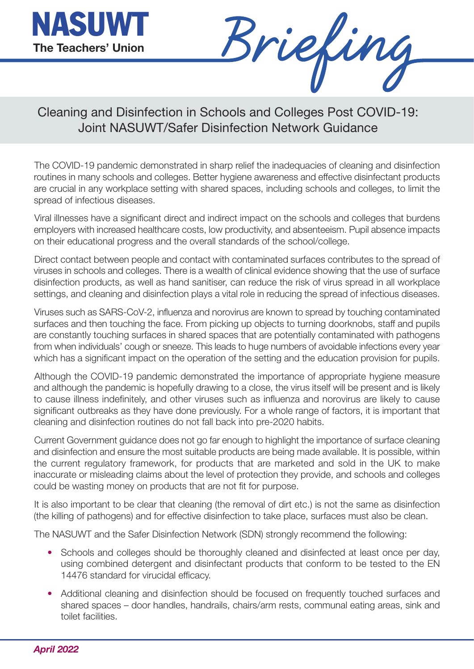

Briefing

Cleaning and Disinfection in Schools and Colleges Post COVID-19: Joint NASUWT/Safer Disinfection Network Guidance

The COVID-19 pandemic demonstrated in sharp relief the inadequacies of cleaning and disinfection routines in many schools and colleges. Better hygiene awareness and effective disinfectant products are crucial in any workplace setting with shared spaces, including schools and colleges, to limit the spread of infectious diseases.

Viral illnesses have a significant direct and indirect impact on the schools and colleges that burdens employers with increased healthcare costs, low productivity, and absenteeism. Pupil absence impacts on their educational progress and the overall standards of the school/college.

Direct contact between people and contact with contaminated surfaces contributes to the spread of viruses in schools and colleges. There is a wealth of clinical evidence showing that the use of surface disinfection products, as well as hand sanitiser, can reduce the risk of virus spread in all workplace settings, and cleaning and disinfection plays a vital role in reducing the spread of infectious diseases.

Viruses such as SARS-CoV-2, influenza and norovirus are known to spread by touching contaminated surfaces and then touching the face. From picking up objects to turning doorknobs, staff and pupils are constantly touching surfaces in shared spaces that are potentially contaminated with pathogens from when individuals' cough or sneeze. This leads to huge numbers of avoidable infections every year which has a significant impact on the operation of the setting and the education provision for pupils.

Although the COVID-19 pandemic demonstrated the importance of appropriate hygiene measure and although the pandemic is hopefully drawing to a close, the virus itself will be present and is likely to cause illness indefinitely, and other viruses such as influenza and norovirus are likely to cause significant outbreaks as they have done previously. For a whole range of factors, it is important that cleaning and disinfection routines do not fall back into pre-2020 habits.

Current Government guidance does not go far enough to highlight the importance of surface cleaning and disinfection and ensure the most suitable products are being made available. It is possible, within the current regulatory framework, for products that are marketed and sold in the UK to make inaccurate or misleading claims about the level of protection they provide, and schools and colleges could be wasting money on products that are not fit for purpose.

It is also important to be clear that cleaning (the removal of dirt etc.) is not the same as disinfection (the killing of pathogens) and for effective disinfection to take place, surfaces must also be clean.

The NASUWT and the Safer Disinfection Network (SDN) strongly recommend the following:

- Schools and colleges should be thoroughly cleaned and disinfected at least once per day, using combined detergent and disinfectant products that conform to be tested to the EN 14476 standard for virucidal efficacy.
- Additional cleaning and disinfection should be focused on frequently touched surfaces and shared spaces – door handles, handrails, chairs/arm rests, communal eating areas, sink and toilet facilities.